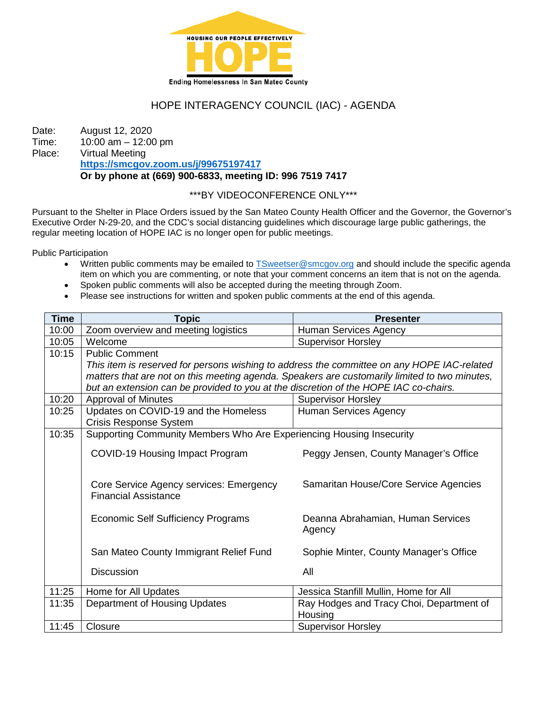

# HOPE INTERAGENCY COUNCIL (IAC) - AGENDA

Date: August 12, 2020 Time: 10:00 am – 12:00 pm<br>Place: Virtual Meeting Virtual Meeting **<https://smcgov.zoom.us/j/99675197417> Or by phone at (669) 900-6833, meeting ID: 996 7519 7417**

## \*\*\*BY VIDEOCONFERENCE ONLY\*\*\*

Pursuant to the Shelter in Place Orders issued by the San Mateo County Health Officer and the Governor, the Governor's Executive Order N-29-20, and the CDC's social distancing guidelines which discourage large public gatherings, the regular meeting location of HOPE IAC is no longer open for public meetings.

Public Participation

- Written public comments may be emailed to [TSweetser@smcgov.org](mailto:TSweetser@smcgov.org) and should include the specific agenda item on which you are commenting, or note that your comment concerns an item that is not on the agenda.
- Spoken public comments will also be accepted during the meeting through Zoom.
- Please see instructions for written and spoken public comments at the end of this agenda.

| <b>Time</b> | <b>Topic</b>                                                                                  | <b>Presenter</b>                         |
|-------------|-----------------------------------------------------------------------------------------------|------------------------------------------|
| 10:00       | Zoom overview and meeting logistics                                                           | Human Services Agency                    |
| 10:05       | Welcome                                                                                       | <b>Supervisor Horsley</b>                |
| 10:15       | <b>Public Comment</b>                                                                         |                                          |
|             | This item is reserved for persons wishing to address the committee on any HOPE IAC-related    |                                          |
|             | matters that are not on this meeting agenda. Speakers are customarily limited to two minutes, |                                          |
|             | but an extension can be provided to you at the discretion of the HOPE IAC co-chairs.          |                                          |
| 10:20       | <b>Approval of Minutes</b>                                                                    | <b>Supervisor Horsley</b>                |
| 10:25       | Updates on COVID-19 and the Homeless                                                          | <b>Human Services Agency</b>             |
|             | Crisis Response System                                                                        |                                          |
| 10:35       | Supporting Community Members Who Are Experiencing Housing Insecurity                          |                                          |
|             |                                                                                               |                                          |
|             | COVID-19 Housing Impact Program                                                               | Peggy Jensen, County Manager's Office    |
|             |                                                                                               |                                          |
|             | Core Service Agency services: Emergency                                                       | Samaritan House/Core Service Agencies    |
|             | <b>Financial Assistance</b>                                                                   |                                          |
|             |                                                                                               |                                          |
|             | Economic Self Sufficiency Programs                                                            | Deanna Abrahamian, Human Services        |
|             |                                                                                               | Agency                                   |
|             |                                                                                               |                                          |
|             | San Mateo County Immigrant Relief Fund                                                        | Sophie Minter, County Manager's Office   |
|             | <b>Discussion</b>                                                                             | All                                      |
|             |                                                                                               |                                          |
| 11:25       | Home for All Updates                                                                          | Jessica Stanfill Mullin, Home for All    |
| 11:35       | Department of Housing Updates                                                                 | Ray Hodges and Tracy Choi, Department of |
|             |                                                                                               | Housing                                  |
| 11:45       | Closure                                                                                       | <b>Supervisor Horsley</b>                |